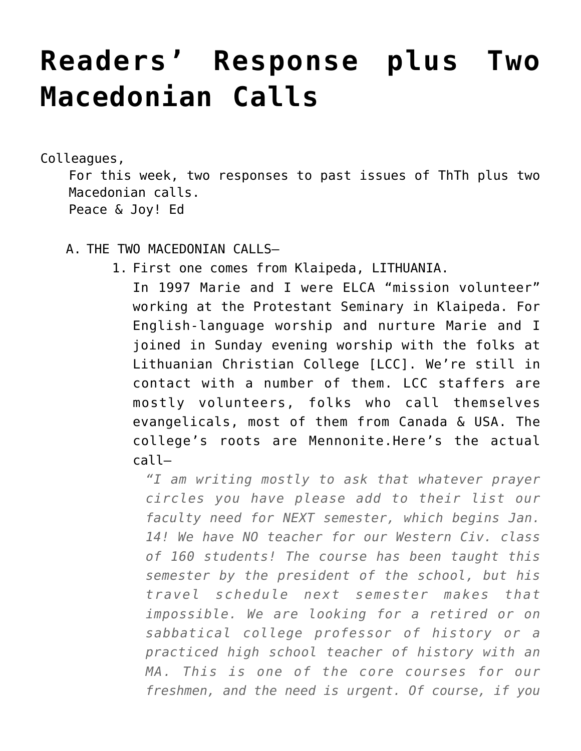## **[Readers' Response plus Two](https://crossings.org/readers-response-plus-two-macedonian-calls/) [Macedonian Calls](https://crossings.org/readers-response-plus-two-macedonian-calls/)**

Colleagues,

For this week, two responses to past issues of ThTh plus two Macedonian calls. Peace & Joy! Ed

- A. THE TWO MACEDONIAN CALLS–
	- 1. First one comes from Klaipeda, LITHUANIA.

In 1997 Marie and I were ELCA "mission volunteer" working at the Protestant Seminary in Klaipeda. For English-language worship and nurture Marie and I joined in Sunday evening worship with the folks at Lithuanian Christian College [LCC]. We're still in contact with a number of them. LCC staffers are mostly volunteers, folks who call themselves evangelicals, most of them from Canada & USA. The college's roots are Mennonite.Here's the actual call–

*"I am writing mostly to ask that whatever prayer circles you have please add to their list our faculty need for NEXT semester, which begins Jan. 14! We have NO teacher for our Western Civ. class of 160 students! The course has been taught this semester by the president of the school, but his travel schedule next semester makes that impossible. We are looking for a retired or on sabbatical college professor of history or a practiced high school teacher of history with an MA. This is one of the core courses for our freshmen, and the need is urgent. Of course, if you*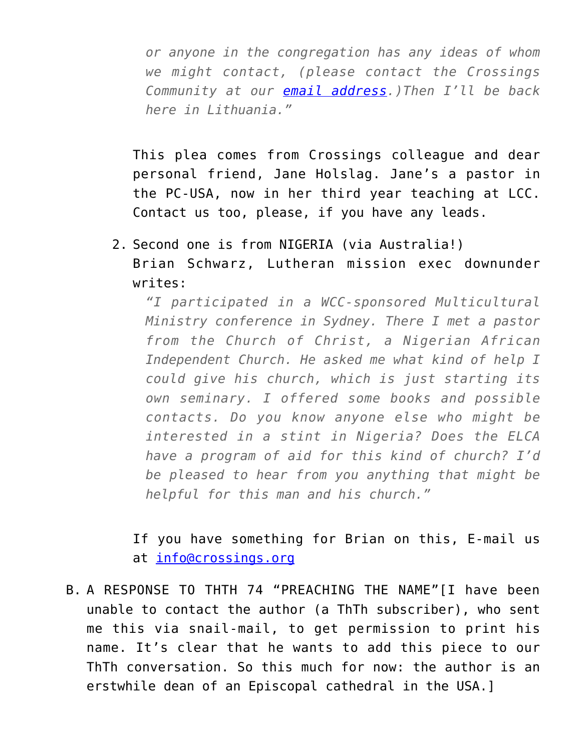*or anyone in the congregation has any ideas of whom we might contact, (please contact the Crossings Community at our [email address](mailto:info@crossings.org).)Then I'll be back here in Lithuania."*

This plea comes from Crossings colleague and dear personal friend, Jane Holslag. Jane's a pastor in the PC-USA, now in her third year teaching at LCC. Contact us too, please, if you have any leads.

2. Second one is from NIGERIA (via Australia!)

Brian Schwarz, Lutheran mission exec downunder writes:

*"I participated in a WCC-sponsored Multicultural Ministry conference in Sydney. There I met a pastor from the Church of Christ, a Nigerian African Independent Church. He asked me what kind of help I could give his church, which is just starting its own seminary. I offered some books and possible contacts. Do you know anyone else who might be interested in a stint in Nigeria? Does the ELCA have a program of aid for this kind of church? I'd be pleased to hear from you anything that might be helpful for this man and his church."*

If you have something for Brian on this, E-mail us at [info@crossings.org](mailto:info@crossings.org)

B. A RESPONSE TO THTH 74 "PREACHING THE NAME"[I have been unable to contact the author (a ThTh subscriber), who sent me this via snail-mail, to get permission to print his name. It's clear that he wants to add this piece to our ThTh conversation. So this much for now: the author is an erstwhile dean of an Episcopal cathedral in the USA.]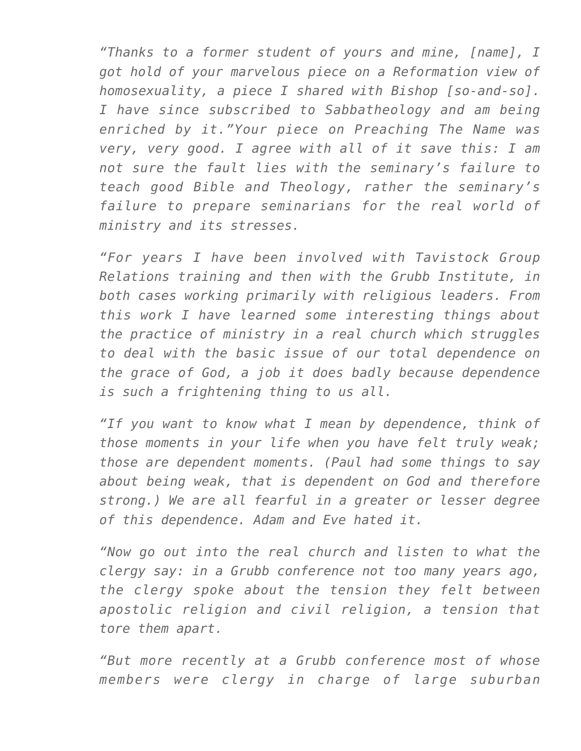*"Thanks to a former student of yours and mine, [name], I got hold of your marvelous piece on a Reformation view of homosexuality, a piece I shared with Bishop [so-and-so]. I have since subscribed to Sabbatheology and am being enriched by it."Your piece on Preaching The Name was very, very good. I agree with all of it save this: I am not sure the fault lies with the seminary's failure to teach good Bible and Theology, rather the seminary's failure to prepare seminarians for the real world of ministry and its stresses.*

*"For years I have been involved with Tavistock Group Relations training and then with the Grubb Institute, in both cases working primarily with religious leaders. From this work I have learned some interesting things about the practice of ministry in a real church which struggles to deal with the basic issue of our total dependence on the grace of God, a job it does badly because dependence is such a frightening thing to us all.*

*"If you want to know what I mean by dependence, think of those moments in your life when you have felt truly weak; those are dependent moments. (Paul had some things to say about being weak, that is dependent on God and therefore strong.) We are all fearful in a greater or lesser degree of this dependence. Adam and Eve hated it.*

*"Now go out into the real church and listen to what the clergy say: in a Grubb conference not too many years ago, the clergy spoke about the tension they felt between apostolic religion and civil religion, a tension that tore them apart.*

*"But more recently at a Grubb conference most of whose members were clergy in charge of large suburban*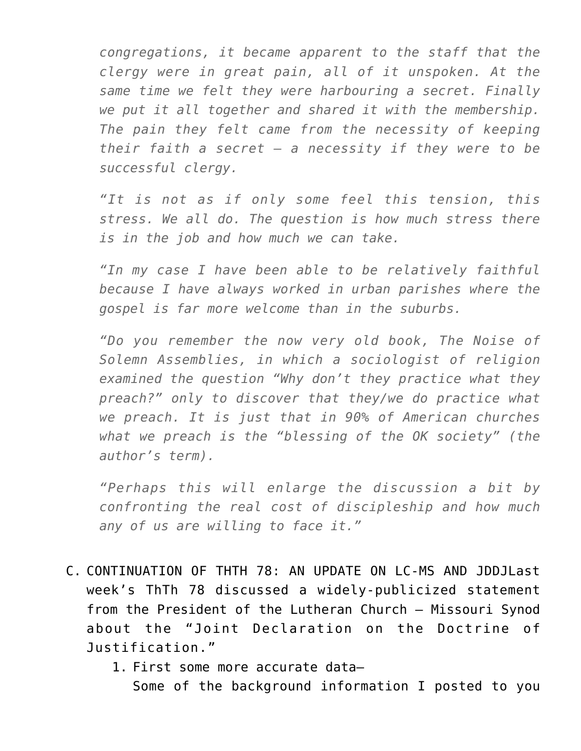*congregations, it became apparent to the staff that the clergy were in great pain, all of it unspoken. At the same time we felt they were harbouring a secret. Finally we put it all together and shared it with the membership. The pain they felt came from the necessity of keeping their faith a secret – a necessity if they were to be successful clergy.*

*"It is not as if only some feel this tension, this stress. We all do. The question is how much stress there is in the job and how much we can take.*

*"In my case I have been able to be relatively faithful because I have always worked in urban parishes where the gospel is far more welcome than in the suburbs.*

*"Do you remember the now very old book, The Noise of Solemn Assemblies, in which a sociologist of religion examined the question "Why don't they practice what they preach?" only to discover that they/we do practice what we preach. It is just that in 90% of American churches what we preach is the "blessing of the OK society" (the author's term).*

*"Perhaps this will enlarge the discussion a bit by confronting the real cost of discipleship and how much any of us are willing to face it."*

- C. CONTINUATION OF THTH 78: AN UPDATE ON LC-MS AND JDDJLast week's ThTh 78 discussed a widely-publicized statement from the President of the Lutheran Church – Missouri Synod about the "Joint Declaration on the Doctrine of Justification."
	- 1. First some more accurate data–

Some of the background information I posted to you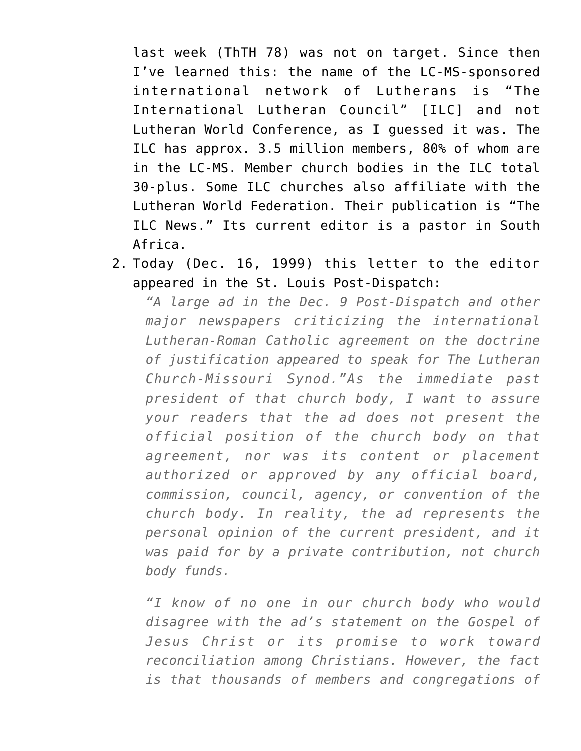last week (ThTH 78) was not on target. Since then I've learned this: the name of the LC-MS-sponsored international network of Lutherans is "The International Lutheran Council" [ILC] and not Lutheran World Conference, as I guessed it was. The ILC has approx. 3.5 million members, 80% of whom are in the LC-MS. Member church bodies in the ILC total 30-plus. Some ILC churches also affiliate with the Lutheran World Federation. Their publication is "The ILC News." Its current editor is a pastor in South Africa.

2. Today (Dec. 16, 1999) this letter to the editor appeared in the St. Louis Post-Dispatch:

*"A large ad in the Dec. 9 Post-Dispatch and other major newspapers criticizing the international Lutheran-Roman Catholic agreement on the doctrine of justification appeared to speak for The Lutheran Church-Missouri Synod."As the immediate past president of that church body, I want to assure your readers that the ad does not present the official position of the church body on that agreement, nor was its content or placement authorized or approved by any official board, commission, council, agency, or convention of the church body. In reality, the ad represents the personal opinion of the current president, and it was paid for by a private contribution, not church body funds.*

*"I know of no one in our church body who would disagree with the ad's statement on the Gospel of Jesus Christ or its promise to work toward reconciliation among Christians. However, the fact is that thousands of members and congregations of*